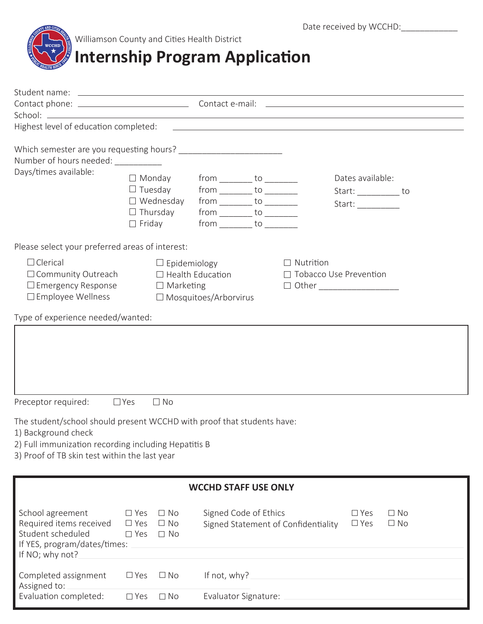

Williamson County and Cities Health District

## **Internship Program Application**

| Highest level of education completed:                                  |                               | <u> 1989 - Johann John Stone, markin sanadi shine a shekara ta 1989 - An tsara tsara tsara tsara tsara tsara tsa</u> |                                     |                                                         |  |
|------------------------------------------------------------------------|-------------------------------|----------------------------------------------------------------------------------------------------------------------|-------------------------------------|---------------------------------------------------------|--|
|                                                                        |                               |                                                                                                                      |                                     |                                                         |  |
| Number of hours needed:                                                |                               |                                                                                                                      |                                     |                                                         |  |
| Days/times available:                                                  | $\Box$ Monday                 |                                                                                                                      |                                     | Dates available:                                        |  |
|                                                                        | $\Box$ Tuesday                | $from \_\_\_to \_\_\_to$<br>$from$ ___________ to __________                                                         |                                     |                                                         |  |
|                                                                        | $\Box$ Wednesday              | $from$ to $\_\_$                                                                                                     |                                     | Start: ____________ to                                  |  |
|                                                                        | $\Box$ Thursday               | $from \_\_\_to \_\_\_to \_\_$                                                                                        |                                     | Start: $\frac{1}{\sqrt{1-\frac{1}{2}}\cdot\frac{1}{2}}$ |  |
|                                                                        | $\Box$ Friday                 | $from$ to $\_\_$                                                                                                     |                                     |                                                         |  |
|                                                                        |                               |                                                                                                                      |                                     |                                                         |  |
| Please select your preferred areas of interest:                        |                               |                                                                                                                      |                                     |                                                         |  |
| $\Box$ Clerical                                                        | $\Box$ Epidemiology           |                                                                                                                      | $\Box$ Nutrition                    |                                                         |  |
| $\Box$ Community Outreach                                              |                               | $\Box$ Health Education                                                                                              | □ Tobacco Use Prevention            |                                                         |  |
| $\Box$ Emergency Response                                              | $\Box$ Marketing              |                                                                                                                      | □ Other ___________________         |                                                         |  |
| $\square$ Employee Wellness                                            |                               | □ Mosquitoes/Arborvirus                                                                                              |                                     |                                                         |  |
| Type of experience needed/wanted:                                      |                               |                                                                                                                      |                                     |                                                         |  |
|                                                                        |                               |                                                                                                                      |                                     |                                                         |  |
|                                                                        |                               |                                                                                                                      |                                     |                                                         |  |
|                                                                        |                               |                                                                                                                      |                                     |                                                         |  |
|                                                                        |                               |                                                                                                                      |                                     |                                                         |  |
|                                                                        |                               |                                                                                                                      |                                     |                                                         |  |
|                                                                        |                               |                                                                                                                      |                                     |                                                         |  |
| Preceptor required:                                                    | $\Box$ No<br>$\Box$ Yes       |                                                                                                                      |                                     |                                                         |  |
|                                                                        |                               |                                                                                                                      |                                     |                                                         |  |
| The student/school should present WCCHD with proof that students have: |                               |                                                                                                                      |                                     |                                                         |  |
| 1) Background check                                                    |                               |                                                                                                                      |                                     |                                                         |  |
| 2) Full immunization recording including Hepatitis B                   |                               |                                                                                                                      |                                     |                                                         |  |
| 3) Proof of TB skin test within the last year                          |                               |                                                                                                                      |                                     |                                                         |  |
|                                                                        |                               |                                                                                                                      |                                     |                                                         |  |
|                                                                        |                               | <b>WCCHD STAFF USE ONLY</b>                                                                                          |                                     |                                                         |  |
|                                                                        |                               |                                                                                                                      |                                     |                                                         |  |
| School agreement                                                       | $\Box$ No<br>$\Box$ Yes       | Signed Code of Ethics                                                                                                |                                     | $\Box$ Yes<br>$\Box$ No                                 |  |
| Required items received                                                | $\square$ Yes<br>$\Box$ No    |                                                                                                                      | Signed Statement of Confidentiality | $\square$ Yes<br>$\Box$ No                              |  |
| Student scheduled                                                      | $\square$ Yes<br>$\Box$ No    |                                                                                                                      |                                     |                                                         |  |
| If YES, program/dates/times:                                           |                               |                                                                                                                      |                                     |                                                         |  |
| If NO; why not?                                                        |                               |                                                                                                                      |                                     |                                                         |  |
|                                                                        |                               |                                                                                                                      |                                     |                                                         |  |
| Completed assignment<br>Assigned to:                                   | $\square$ Yes<br>$\Box$ No    | If not, why?                                                                                                         |                                     |                                                         |  |
| Evaluation completed:                                                  | $\square$ No<br>$\square$ Yes | Evaluator Signature:                                                                                                 |                                     |                                                         |  |